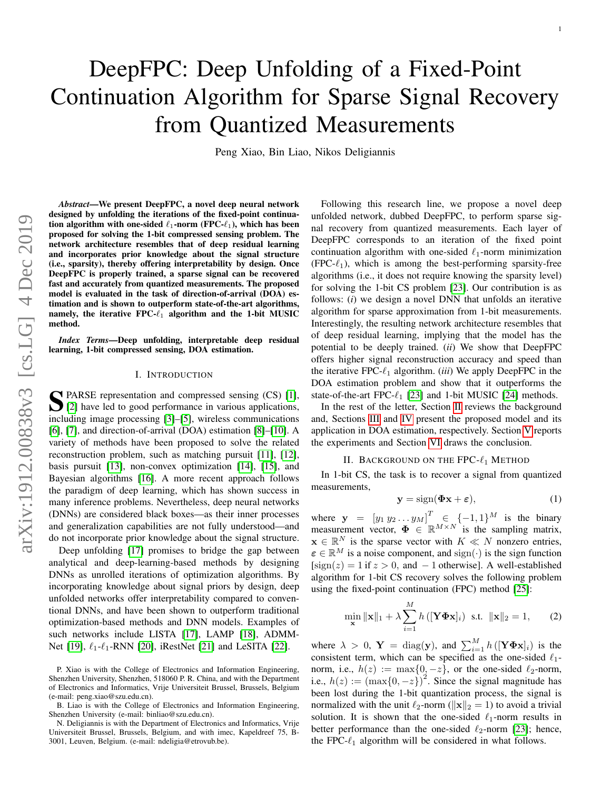# DeepFPC: Deep Unfolding of a Fixed-Point Continuation Algorithm for Sparse Signal Recovery from Quantized Measurements

Peng Xiao, Bin Liao, Nikos Deligiannis

*Abstract*—We present DeepFPC, a novel deep neural network designed by unfolding the iterations of the fixed-point continuation algorithm with one-sided  $\ell_1$ -norm (FPC- $\ell_1$ ), which has been proposed for solving the 1-bit compressed sensing problem. The network architecture resembles that of deep residual learning and incorporates prior knowledge about the signal structure (i.e., sparsity), thereby offering interpretability by design. Once DeepFPC is properly trained, a sparse signal can be recovered fast and accurately from quantized measurements. The proposed model is evaluated in the task of direction-of-arrival (DOA) estimation and is shown to outperform state-of-the-art algorithms, namely, the iterative FPC- $\ell_1$  algorithm and the 1-bit MUSIC method.

*Index Terms*—Deep unfolding, interpretable deep residual learning, 1-bit compressed sensing, DOA estimation.

## I. INTRODUCTION

S PARSE representation and compressed sensing (CS) [\[1\]](#page-4-0),<br>[2] have led to good performance in various applications, [\[2\]](#page-4-1) have led to good performance in various applications, including image processing [\[3\]](#page-4-2)–[\[5\]](#page-4-3), wireless communications [\[6\]](#page-4-4), [\[7\]](#page-4-5), and direction-of-arrival (DOA) estimation [\[8\]](#page-4-6)–[\[10\]](#page-4-7). A variety of methods have been proposed to solve the related reconstruction problem, such as matching pursuit [\[11\]](#page-4-8), [\[12\]](#page-4-9), basis pursuit [\[13\]](#page-4-10), non-convex optimization [\[14\]](#page-4-11), [\[15\]](#page-4-12), and Bayesian algorithms [\[16\]](#page-4-13). A more recent approach follows the paradigm of deep learning, which has shown success in many inference problems. Nevertheless, deep neural networks (DNNs) are considered black boxes—as their inner processes and generalization capabilities are not fully understood—and do not incorporate prior knowledge about the signal structure.

Deep unfolding [\[17\]](#page-4-14) promises to bridge the gap between analytical and deep-learning-based methods by designing DNNs as unrolled iterations of optimization algorithms. By incorporating knowledge about signal priors by design, deep unfolded networks offer interpretability compared to conventional DNNs, and have been shown to outperform traditional optimization-based methods and DNN models. Examples of such networks include LISTA [\[17\]](#page-4-14), LAMP [\[18\]](#page-4-15), ADMM-Net [\[19\]](#page-4-16),  $\ell_1$ - $\ell_1$ -RNN [\[20\]](#page-4-17), iRestNet [\[21\]](#page-4-18) and LeSITA [\[22\]](#page-4-19).

Following this research line, we propose a novel deep unfolded network, dubbed DeepFPC, to perform sparse signal recovery from quantized measurements. Each layer of DeepFPC corresponds to an iteration of the fixed point continuation algorithm with one-sided  $\ell_1$ -norm minimization  $(FPC-\ell_1)$ , which is among the best-performing sparsity-free algorithms (i.e., it does not require knowing the sparsity level) for solving the 1-bit CS problem [\[23\]](#page-4-20). Our contribution is as follows: (*i*) we design a novel DNN that unfolds an iterative algorithm for sparse approximation from 1-bit measurements. Interestingly, the resulting network architecture resembles that of deep residual learning, implying that the model has the potential to be deeply trained. (*ii*) We show that DeepFPC offers higher signal reconstruction accuracy and speed than the iterative FPC- $\ell_1$  algorithm. *(iii)* We apply DeepFPC in the DOA estimation problem and show that it outperforms the state-of-the-art FPC- $\ell_1$  [\[23\]](#page-4-20) and 1-bit MUSIC [\[24\]](#page-4-21) methods.

In the rest of the letter, Section [II](#page-0-0) reviews the background and, Sections [III](#page-1-0) and [IV](#page-1-1) present the proposed model and its application in DOA estimation, respectively. Section [V](#page-2-0) reports the experiments and Section [VI](#page-3-0) draws the conclusion.

# II. BACKGROUND ON THE FPC- $\ell_1$  METHOD

<span id="page-0-0"></span>In 1-bit CS, the task is to recover a signal from quantized measurements,

<span id="page-0-2"></span>
$$
y = sign(\Phi x + \varepsilon), \tag{1}
$$

where  $y = [y_1 y_2 ... y_M]^T \in \{-1, 1\}^M$  is the binary measurement vector,  $\Phi \in \mathbb{R}^{M \times N}$  is the sampling matrix,  $\mathbf{x} \in \mathbb{R}^N$  is the sparse vector with  $K \ll N$  nonzero entries,  $\varepsilon \in \mathbb{R}^M$  is a noise component, and sign(·) is the sign function  $[sign(z) = 1$  if  $z > 0$ , and  $-1$  otherwise]. A well-established algorithm for 1-bit CS recovery solves the following problem using the fixed-point continuation (FPC) method [\[25\]](#page-4-22):

<span id="page-0-1"></span>
$$
\min_{\mathbf{x}} \|\mathbf{x}\|_{1} + \lambda \sum_{i=1}^{M} h\left( [\mathbf{Y} \mathbf{\Phi} \mathbf{x}]_{i} \right) \text{ s.t. } \|\mathbf{x}\|_{2} = 1, \qquad (2)
$$

where  $\lambda > 0$ ,  $Y = diag(y)$ , and  $\sum_{i=1}^{M} h([\textbf{Y} \boldsymbol{\Phi} \textbf{x}]_i)$  is the consistent term, which can be specified as the one-sided  $\ell_1$ norm, i.e.,  $h(z) := \max\{0, -z\}$ , or the one-sided  $\ell_2$ -norm, i.e.,  $h(z) := (\max\{0, -z\})^2$ . Since the signal magnitude has been lost during the 1-bit quantization process, the signal is normalized with the unit  $\ell_2$ -norm ( $\|\mathbf{x}\|_2 = 1$ ) to avoid a trivial solution. It is shown that the one-sided  $\ell_1$ -norm results in better performance than the one-sided  $\ell_2$ -norm [\[23\]](#page-4-20); hence, the FPC- $\ell_1$  algorithm will be considered in what follows.

P. Xiao is with the College of Electronics and Information Engineering, Shenzhen University, Shenzhen, 518060 P. R. China, and with the Department of Electronics and Informatics, Vrije Universiteit Brussel, Brussels, Belgium (e-mail: peng.xiao@szu.edu.cn).

B. Liao is with the College of Electronics and Information Engineering, Shenzhen University (e-mail: binliao@szu.edu.cn).

N. Deligiannis is with the Department of Electronics and Informatics, Vrije Universiteit Brussel, Brussels, Belgium, and with imec, Kapeldreef 75, B-3001, Leuven, Belgium. (e-mail: ndeligia@etrovub.be).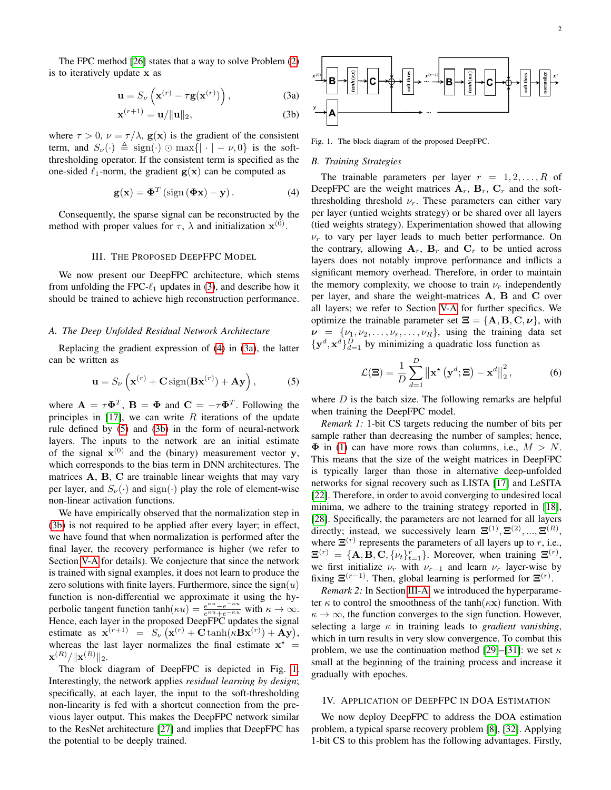The FPC method [\[26\]](#page-4-23) states that a way to solve Problem [\(2\)](#page-0-1) is to iteratively update x as

<span id="page-1-2"></span>
$$
\mathbf{u} = S_{\nu} \left( \mathbf{x}^{(r)} - \tau \mathbf{g}(\mathbf{x}^{(r)}) \right), \tag{3a}
$$

$$
\mathbf{x}^{(r+1)} = \mathbf{u}/\|\mathbf{u}\|_2,\tag{3b}
$$

where  $\tau > 0$ ,  $\nu = \tau/\lambda$ ,  $\mathbf{g}(\mathbf{x})$  is the gradient of the consistent term, and  $S_{\nu}(\cdot) \triangleq \text{sign}(\cdot) \odot \text{max}\{|\cdot| - \nu, 0\}$  is the softthresholding operator. If the consistent term is specified as the one-sided  $\ell_1$ -norm, the gradient  $g(x)$  can be computed as

<span id="page-1-3"></span>
$$
\mathbf{g}(\mathbf{x}) = \mathbf{\Phi}^T \left( \text{sign} \left( \mathbf{\Phi} \mathbf{x} \right) - \mathbf{y} \right). \tag{4}
$$

Consequently, the sparse signal can be reconstructed by the method with proper values for  $\tau$ ,  $\lambda$  and initialization  $\mathbf{x}^{(0)}$ .

## III. THE PROPOSED DEEPFPC MODEL

<span id="page-1-0"></span>We now present our DeepFPC architecture, which stems from unfolding the FPC- $\ell_1$  updates in [\(3\)](#page-1-2), and describe how it should be trained to achieve high reconstruction performance.

### <span id="page-1-8"></span>*A. The Deep Unfolded Residual Network Architecture*

Replacing the gradient expression of [\(4\)](#page-1-3) in [\(3a\)](#page-1-4), the latter can be written as

<span id="page-1-5"></span>
$$
\mathbf{u} = S_{\nu} \left( \mathbf{x}^{(r)} + \mathbf{C} \operatorname{sign}(\mathbf{B} \mathbf{x}^{(r)}) + \mathbf{A} \mathbf{y} \right), \tag{5}
$$

where  $\mathbf{A} = \tau \mathbf{\Phi}^T$ ,  $\mathbf{B} = \mathbf{\Phi}$  and  $\mathbf{C} = -\tau \mathbf{\Phi}^T$ . Following the principles in  $[17]$ , we can write R iterations of the update rule defined by [\(5\)](#page-1-5) and [\(3b\)](#page-1-6) in the form of neural-network layers. The inputs to the network are an initial estimate of the signal  $x^{(0)}$  and the (binary) measurement vector y, which corresponds to the bias term in DNN architectures. The matrices A, B, C are trainable linear weights that may vary per layer, and  $S_{\nu}(\cdot)$  and sign( $\cdot$ ) play the role of element-wise non-linear activation functions.

We have empirically observed that the normalization step in [\(3b\)](#page-1-6) is not required to be applied after every layer; in effect, we have found that when normalization is performed after the final layer, the recovery performance is higher (we refer to Section [V-A](#page-2-1) for details). We conjecture that since the network is trained with signal examples, it does not learn to produce the zero solutions with finite layers. Furthermore, since the  $sign(u)$ function is non-differential we approximate it using the hyperbolic tangent function  $\tanh(\kappa u) = \frac{e^{\kappa u} - e^{-\kappa u}}{e^{\kappa u} + e^{-\kappa u}}$  with  $\kappa \to \infty$ . Hence, each layer in the proposed DeepFPC updates the signal estimate as  $\mathbf{x}^{(r+1)} = S_{\nu}(\mathbf{x}^{(r)} + \mathbf{C} \tanh(\kappa \mathbf{B} \mathbf{x}^{(r)}) + \mathbf{A} \mathbf{y}),$ whereas the last layer normalizes the final estimate  $x^*$  =  $\mathbf{x}^{(R)}/\|\mathbf{x}^{(R)}\|_2.$  $x^{(r+1)} = n/||n||_2$ , (3b)  $\overrightarrow{AB}$ <br>
where  $r > 0$ ,  $v = r/ \lambda$ ,  $g(x)$  is the gradient of the consistent. Fig. 1.<br>
from, and  $S_c(\cdot) \triangleq \text{sign}(\cdot) \odot \text{max}(|\cdot| - \nu, 0\rangle)$  is the soft-<br>
fracthedial operator. If the consistent term is s

The block diagram of DeepFPC is depicted in Fig. [1.](#page-1-7) Interestingly, the network applies *residual learning by design*; specifically, at each layer, the input to the soft-thresholding non-linearity is fed with a shortcut connection from the previous layer output. This makes the DeepFPC network similar to the ResNet architecture [\[27\]](#page-4-24) and implies that DeepFPC has

<span id="page-1-4"></span>

<span id="page-1-7"></span><span id="page-1-6"></span>Fig. 1. The block diagram of the proposed DeepFPC.

#### *B. Training Strategies*

The trainable parameters per layer  $r = 1, 2, \ldots, R$  of DeepFPC are the weight matrices  $A_r$ ,  $B_r$ ,  $C_r$  and the softthresholding threshold  $\nu_r$ . These parameters can either vary per layer (untied weights strategy) or be shared over all layers (tied weights strategy). Experimentation showed that allowing  $\nu_r$  to vary per layer leads to much better performance. On the contrary, allowing  $A_r$ ,  $B_r$  and  $C_r$  to be untied across layers does not notably improve performance and inflicts a significant memory overhead. Therefore, in order to maintain the memory complexity, we choose to train  $\nu_r$  independently per layer, and share the weight-matrices A, B and C over all layers; we refer to Section [V-A](#page-2-1) for further specifics. We optimize the trainable parameter set  $\Xi = \{A, B, C, \nu\}$ , with  $\nu = {\nu_1, \nu_2, \ldots, \nu_r, \ldots, \nu_R}$ , using the training data set  $\{y^d, x^d\}_{d=1}^D$  by minimizing a quadratic loss function as

$$
\mathcal{L}(\mathbf{\Xi}) = \frac{1}{D} \sum_{d=1}^{D} \left\| \mathbf{x}^{\star} \left( \mathbf{y}^{d}; \mathbf{\Xi} \right) - \mathbf{x}^{d} \right\|_{2}^{2},\tag{6}
$$

where  $D$  is the batch size. The following remarks are helpful when training the DeepFPC model.

*Remark 1:* 1-bit CS targets reducing the number of bits per sample rather than decreasing the number of samples; hence,  $\Phi$  in [\(1\)](#page-0-2) can have more rows than columns, i.e.,  $M > N$ . This means that the size of the weight matrices in DeepFPC is typically larger than those in alternative deep-unfolded networks for signal recovery such as LISTA [\[17\]](#page-4-14) and LeSITA [\[22\]](#page-4-19). Therefore, in order to avoid converging to undesired local minima, we adhere to the training strategy reported in [\[18\]](#page-4-15), [\[28\]](#page-4-25). Specifically, the parameters are not learned for all layers directly; instead, we successively learn  $\mathbf{\Xi}^{(1)}, \mathbf{\Xi}^{(2)}, ..., \mathbf{\Xi}^{(R)}$ , where  $\Xi^{(r)}$  represents the parameters of all layers up to r, i.e.,  $\mathbf{\Xi}^{(r)} = \{\mathbf{A}, \mathbf{B}, \mathbf{C}, \{\nu_t\}_{t=1}^r\}$ . Moreover, when training  $\mathbf{\Xi}^{(r)}$ , we first initialize  $\nu_r$  with  $\nu_{r-1}$  and learn  $\nu_r$  layer-wise by fixing  $\Xi^{(r-1)}$ . Then, global learning is performed for  $\Xi^{(r)}$ .

*Remark 2:* In Section [III-A,](#page-1-8) we introduced the hyperparameter  $\kappa$  to control the smoothness of the tanh( $\kappa$ x) function. With  $\kappa \to \infty$ , the function converges to the sign function. However, selecting a large  $\kappa$  in training leads to *gradient vanishing*, which in turn results in very slow convergence. To combat this problem, we use the continuation method [\[29\]](#page-4-26)–[\[31\]](#page-4-27): we set  $\kappa$ small at the beginning of the training process and increase it gradually with epoches.

## <span id="page-1-1"></span>IV. APPLICATION OF DEEPFPC IN DOA ESTIMATION

We now deploy DeepFPC to address the DOA estimation problem, a typical sparse recovery problem [\[8\]](#page-4-6), [\[32\]](#page-4-28). Applying 1-bit CS to this problem has the following advantages. Firstly,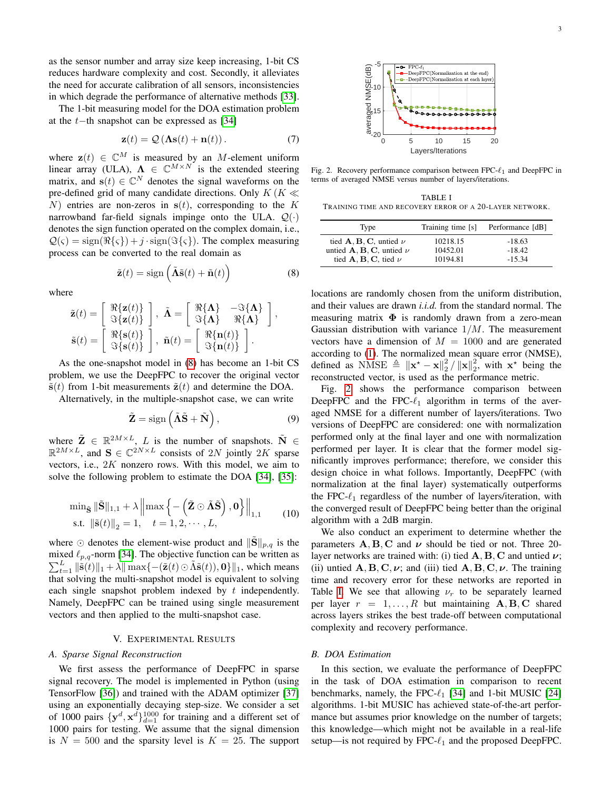as the sensor number and array size keep increasing, 1-bit CS reduces hardware complexity and cost. Secondly, it alleviates the need for accurate calibration of all sensors, inconsistencies in which degrade the performance of alternative methods [\[33\]](#page-4-29).

The 1-bit measuring model for the DOA estimation problem at the t−th snapshot can be expressed as [\[34\]](#page-4-30)

<span id="page-2-5"></span>
$$
\mathbf{z}(t) = \mathcal{Q}\left(\mathbf{\Lambda s}(t) + \mathbf{n}(t)\right). \tag{7}
$$

where  $z(t) \in \mathbb{C}^{M}$  is measured by an M-element uniform linear array (ULA),  $\Lambda \in \mathbb{C}^{M \times N}$  is the extended steering matrix, and  $\mathbf{s}(t) \in \mathbb{C}^N$  denotes the signal waveforms on the pre-defined grid of many candidate directions. Only  $K/K \ll$ N) entries are non-zeros in  $s(t)$ , corresponding to the K narrowband far-field signals impinge onto the ULA.  $Q(\cdot)$ denotes the sign function operated on the complex domain, i.e.,  $\mathcal{Q}(\varsigma) = \text{sign}(\Re\{\varsigma\}) + j \cdot \text{sign}(\Im\{\varsigma\})$ . The complex measuring process can be converted to the real domain as

<span id="page-2-2"></span>
$$
\tilde{\mathbf{z}}(t) = \text{sign}\left(\tilde{\mathbf{\Lambda}}\tilde{\mathbf{s}}(t) + \tilde{\mathbf{n}}(t)\right)
$$
 (8)

where

$$
\tilde{\mathbf{z}}(t) = \begin{bmatrix} \Re{\{\mathbf{z}(t)\}} \\ \Im{\{\mathbf{z}(t)\}} \end{bmatrix}, \ \tilde{\mathbf{\Lambda}} = \begin{bmatrix} \Re{\{\mathbf{\Lambda}\}} & -\Im{\{\mathbf{\Lambda}\}} \\ \Im{\{\mathbf{\Lambda}\}} & \Re{\{\mathbf{\Lambda}\}} \end{bmatrix}, \n\tilde{\mathbf{s}}(t) = \begin{bmatrix} \Re{\{\mathbf{s}(t)\}} \\ \Im{\{\mathbf{s}(t)\}} \end{bmatrix}, \ \tilde{\mathbf{n}}(t) = \begin{bmatrix} \Re{\{\mathbf{n}(t)\}} \\ \Im{\{\mathbf{n}(t)\}} \end{bmatrix}.
$$

As the one-snapshot model in [\(8\)](#page-2-2) has become an 1-bit CS problem, we use the DeepFPC to recover the original vector  $\tilde{\mathbf{s}}(t)$  from 1-bit measurements  $\tilde{\mathbf{z}}(t)$  and determine the DOA.

Alternatively, in the multiple-snapshot case, we can write

$$
\tilde{\mathbf{Z}} = \text{sign}\left(\tilde{\mathbf{A}}\tilde{\mathbf{S}} + \tilde{\mathbf{N}}\right),\tag{9}
$$

where  $\tilde{\mathbf{Z}} \in \mathbb{R}^{2M \times L}$ , L is the number of snapshots.  $\tilde{\mathbf{N}} \in$  $\mathbb{R}^{2M\times L}$ , and  $\mathbf{S} \in \mathbb{C}^{2N\times L}$  consists of  $2N$  jointly  $2K$  sparse vectors, i.e.,  $2K$  nonzero rows. With this model, we aim to solve the following problem to estimate the DOA [\[34\]](#page-4-30), [\[35\]](#page-4-31):

$$
\min_{\tilde{\mathbf{S}} \|\tilde{\mathbf{S}}\|_{1,1} + \lambda \left\| \max\left\{ -\left(\tilde{\mathbf{Z}} \odot \tilde{\mathbf{\Lambda}} \tilde{\mathbf{S}}\right), \mathbf{0} \right\} \right\|_{1,1} \quad (10)
$$
  
s.t.  $\|\tilde{\mathbf{s}}(t)\|_2 = 1, \quad t = 1, 2, \cdots, L,$ 

where  $\odot$  denotes the element-wise product and  $\|\widetilde{\mathbf{S}}\|_{p,q}$  is the mixed  $\ell_{p,q}$ -norm [\[34\]](#page-4-30). The objective function can be written as  $\sum_{t=1}^{L} \|\tilde{\mathbf{s}}(t)\|_1 + \lambda \|\max\{-(\tilde{\mathbf{z}}(t) \odot \tilde{\Lambda}\tilde{\mathbf{s}}(t)), \mathbf{0}\}\|_1$ , which means that solving the multi-snapshot model is equivalent to solving each single snapshot problem indexed by  $t$  independently. Namely, DeepFPC can be trained using single measurement vectors and then applied to the multi-snapshot case.

#### V. EXPERIMENTAL RESULTS

## <span id="page-2-1"></span><span id="page-2-0"></span>*A. Sparse Signal Reconstruction*

We first assess the performance of DeepFPC in sparse signal recovery. The model is implemented in Python (using TensorFlow [\[36\]](#page-4-32)) and trained with the ADAM optimizer [\[37\]](#page-4-33) using an exponentially decaying step-size. We consider a set of 1000 pairs  $\{y^d, x^d\}_{d=1}^{1000}$  for training and a different set of 1000 pairs for testing. We assume that the signal dimension is  $N = 500$  and the sparsity level is  $K = 25$ . The support



<span id="page-2-3"></span>Fig. 2. Recovery performance comparison between FPC- $\ell_1$  and DeepFPC in terms of averaged NMSE versus number of layers/iterations.

<span id="page-2-4"></span>TABLE I TRAINING TIME AND RECOVERY ERROR OF A 20-LAYER NETWORK.

| Type                                                                                                                   | Training time [s]    | Performance [dB]     |
|------------------------------------------------------------------------------------------------------------------------|----------------------|----------------------|
| tied $\mathbf{A}, \mathbf{B}, \mathbf{C}$ , untied $\nu$<br>untied $\mathbf{A}, \mathbf{B}, \mathbf{C}$ , untied $\nu$ | 10218.15<br>10452.01 | $-18.63$<br>$-18.42$ |
| tied $\mathbf{A}, \mathbf{B}, \mathbf{C}$ , tied $\nu$                                                                 | 10194.81             | $-15.34$             |

locations are randomly chosen from the uniform distribution, and their values are drawn *i.i.d.* from the standard normal. The measuring matrix  $\Phi$  is randomly drawn from a zero-mean Gaussian distribution with variance  $1/M$ . The measurement vectors have a dimension of  $M = 1000$  and are generated according to [\(1\)](#page-0-2). The normalized mean square error (NMSE), defined as NMSE  $\triangleq \|\mathbf{x}^* - \mathbf{x}\|_2^2 / \|\mathbf{x}\|_2^2$ , with  $\mathbf{x}^*$  being the reconstructed vector, is used as the performance metric.

Fig. [2](#page-2-3) shows the performance comparison between DeepFPC and the FPC- $\ell_1$  algorithm in terms of the averaged NMSE for a different number of layers/iterations. Two versions of DeepFPC are considered: one with normalization performed only at the final layer and one with normalization performed per layer. It is clear that the former model significantly improves performance; therefore, we consider this design choice in what follows. Importantly, DeepFPC (with normalization at the final layer) systematically outperforms the FPC- $\ell_1$  regardless of the number of layers/iteration, with the converged result of DeepFPC being better than the original algorithm with a 2dB margin.

We also conduct an experiment to determine whether the parameters  $A, B, C$  and  $\nu$  should be tied or not. Three 20layer networks are trained with: (i) tied  $A, B, C$  and untied  $\nu$ ; (ii) untied  $\mathbf{A}, \mathbf{B}, \mathbf{C}, \nu$ ; and (iii) tied  $\mathbf{A}, \mathbf{B}, \mathbf{C}, \nu$ . The training time and recovery error for these networks are reported in Table [I.](#page-2-4) We see that allowing  $\nu_r$  to be separately learned per layer  $r = 1, \ldots, R$  but maintaining  $A, B, C$  shared across layers strikes the best trade-off between computational complexity and recovery performance.

#### *B. DOA Estimation*

In this section, we evaluate the performance of DeepFPC in the task of DOA estimation in comparison to recent benchmarks, namely, the FPC- $\ell_1$  [\[34\]](#page-4-30) and 1-bit MUSIC [\[24\]](#page-4-21) algorithms. 1-bit MUSIC has achieved state-of-the-art performance but assumes prior knowledge on the number of targets; this knowledge—which might not be available in a real-life setup—is not required by FPC- $\ell_1$  and the proposed DeepFPC.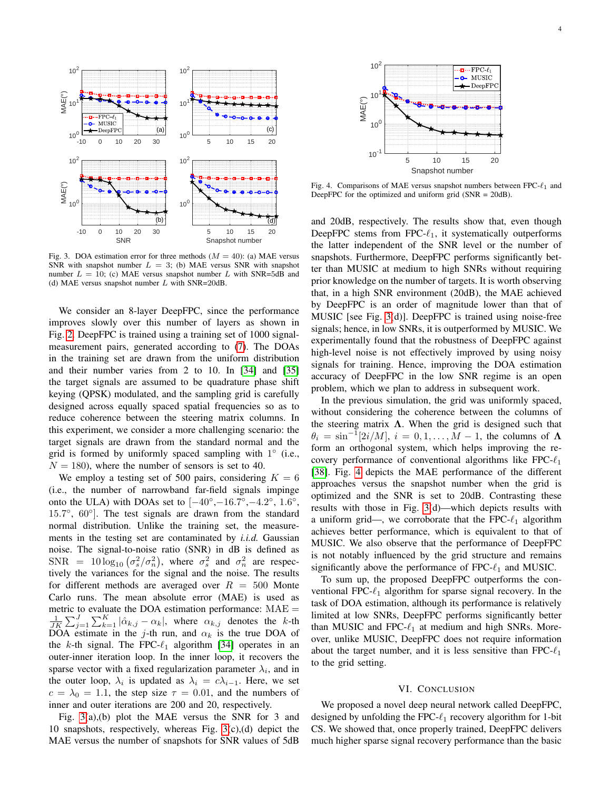

<span id="page-3-1"></span>Fig. 3. DOA estimation error for three methods  $(M = 40)$ : (a) MAE versus SNR with snapshot number  $L = 3$ ; (b) MAE versus SNR with snapshot number  $L = 10$ ; (c) MAE versus snapshot number L with SNR=5dB and (d) MAE versus snapshot number  $L$  with SNR=20dB.

We consider an 8-layer DeepFPC, since the performance improves slowly over this number of layers as shown in Fig. [2.](#page-2-3) DeepFPC is trained using a training set of 1000 signalmeasurement pairs, generated according to [\(7\)](#page-2-5). The DOAs in the training set are drawn from the uniform distribution and their number varies from 2 to 10. In [\[34\]](#page-4-30) and [\[35\]](#page-4-31) the target signals are assumed to be quadrature phase shift keying (QPSK) modulated, and the sampling grid is carefully designed across equally spaced spatial frequencies so as to reduce coherence between the steering matrix columns. In this experiment, we consider a more challenging scenario: the target signals are drawn from the standard normal and the grid is formed by uniformly spaced sampling with  $1^\circ$  (i.e.,  $N = 180$ , where the number of sensors is set to 40.

We employ a testing set of 500 pairs, considering  $K = 6$ (i.e., the number of narrowband far-field signals impinge onto the ULA) with DOAs set to  $[-40^{\circ}, -16.7^{\circ}, -4.2^{\circ}, 1.6^{\circ},$ 15.7°, 60°]. The test signals are drawn from the standard normal distribution. Unlike the training set, the measurements in the testing set are contaminated by *i.i.d.* Gaussian noise. The signal-to-noise ratio (SNR) in dB is defined as SNR =  $10\log_{10}(\sigma_s^2/\sigma_n^2)$ , where  $\sigma_s^2$  and  $\sigma_n^2$  are respectively the variances for the signal and the noise. The results for different methods are averaged over  $R = 500$  Monte Carlo runs. The mean absolute error (MAE) is used as metric to evaluate the DOA estimation performance: MAE =  $\frac{1}{\sqrt{JK}}\sum_{j=1}^{J}\sum_{k=1}^{K}|\hat{\alpha}_{k,j}-\alpha_{k}|$ , where  $\alpha_{k,j}$  denotes the k-th DOA estimate in the j-th run, and  $\alpha_k$  is the true DOA of the k-th signal. The FPC- $\ell_1$  algorithm [\[34\]](#page-4-30) operates in an outer-inner iteration loop. In the inner loop, it recovers the sparse vector with a fixed regularization parameter  $\lambda_i$ , and in the outer loop,  $\lambda_i$  is updated as  $\lambda_i = c \lambda_{i-1}$ . Here, we set  $c = \lambda_0 = 1.1$ , the step size  $\tau = 0.01$ , and the numbers of inner and outer iterations are 200 and 20, respectively.

Fig. [3\(](#page-3-1)a),(b) plot the MAE versus the SNR for 3 and 10 snapshots, respectively, whereas Fig. [3\(](#page-3-1)c),(d) depict the MAE versus the number of snapshots for SNR values of 5dB



<span id="page-3-2"></span>Fig. 4. Comparisons of MAE versus snapshot numbers between FPC- $\ell_1$  and DeepFPC for the optimized and uniform grid (SNR = 20dB).

and 20dB, respectively. The results show that, even though DeepFPC stems from FPC- $\ell_1$ , it systematically outperforms the latter independent of the SNR level or the number of snapshots. Furthermore, DeepFPC performs significantly better than MUSIC at medium to high SNRs without requiring prior knowledge on the number of targets. It is worth observing that, in a high SNR environment (20dB), the MAE achieved by DeepFPC is an order of magnitude lower than that of MUSIC [see Fig. [3\(](#page-3-1)d)]. DeepFPC is trained using noise-free signals; hence, in low SNRs, it is outperformed by MUSIC. We experimentally found that the robustness of DeepFPC against high-level noise is not effectively improved by using noisy signals for training. Hence, improving the DOA estimation accuracy of DeepFPC in the low SNR regime is an open problem, which we plan to address in subsequent work.

In the previous simulation, the grid was uniformly spaced, without considering the coherence between the columns of the steering matrix  $\Lambda$ . When the grid is designed such that  $\theta_i = \sin^{-1}[2i/M], i = 0, 1, \dots, M-1$ , the columns of  $\Lambda$ form an orthogonal system, which helps improving the recovery performance of conventional algorithms like FPC- $\ell_1$ [\[38\]](#page-4-34). Fig. [4](#page-3-2) depicts the MAE performance of the different approaches versus the snapshot number when the grid is optimized and the SNR is set to 20dB. Contrasting these results with those in Fig. [3\(](#page-3-1)d)—which depicts results with a uniform grid—, we corroborate that the FPC- $\ell_1$  algorithm achieves better performance, which is equivalent to that of MUSIC. We also observe that the performance of DeepFPC is not notably influenced by the grid structure and remains significantly above the performance of FPC- $\ell_1$  and MUSIC.

To sum up, the proposed DeepFPC outperforms the conventional FPC- $\ell_1$  algorithm for sparse signal recovery. In the task of DOA estimation, although its performance is relatively limited at low SNRs, DeepFPC performs significantly better than MUSIC and FPC- $\ell_1$  at medium and high SNRs. Moreover, unlike MUSIC, DeepFPC does not require information about the target number, and it is less sensitive than FPC- $\ell_1$ to the grid setting.

### VI. CONCLUSION

<span id="page-3-0"></span>We proposed a novel deep neural network called DeepFPC, designed by unfolding the FPC- $\ell_1$  recovery algorithm for 1-bit CS. We showed that, once properly trained, DeepFPC delivers much higher sparse signal recovery performance than the basic